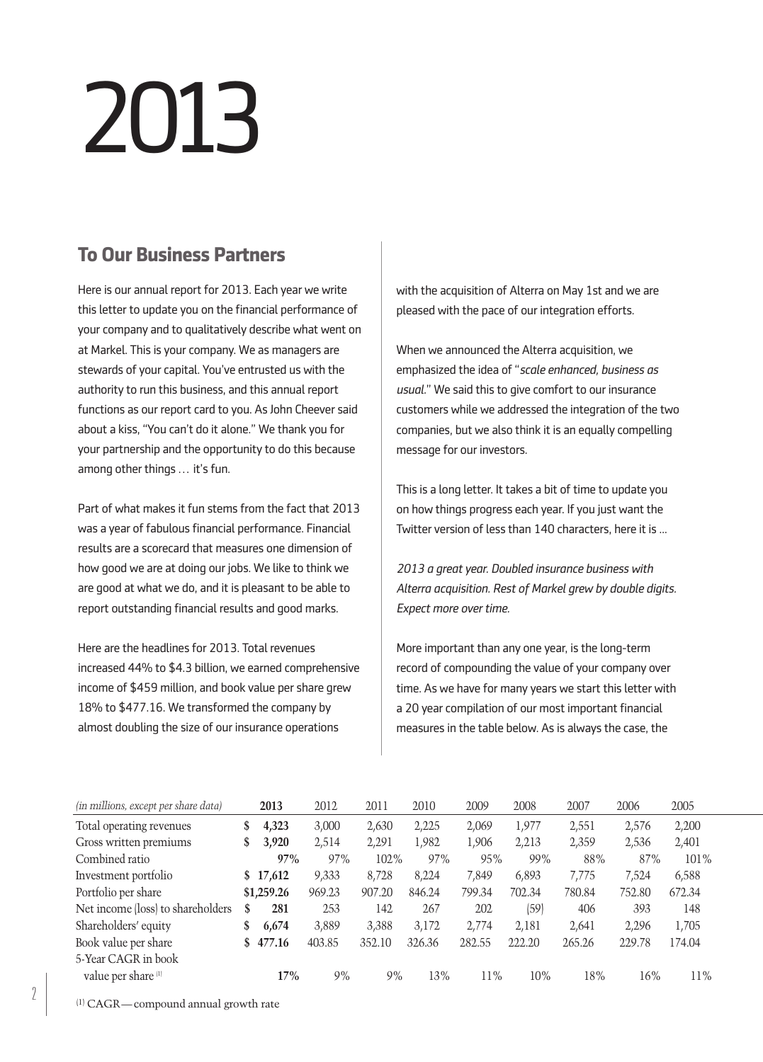# 2013

# **To Our Business Partners**

Here is our annual report for 2013. Each year we write this letter to update you on the financial performance of your company and to qualitatively describe what went on at Markel. This is your company. We as managers are stewards of your capital. You've entrusted us with the authority to run this business, and this annual report functions as our report card to you. As John Cheever said about a kiss, "You can't do it alone." We thank you for your partnership and the opportunity to do this because among other things ... it's fun.

Part of what makes it fun stems from the fact that 2013 was a year of fabulous financial performance. Financial results are a scorecard that measures one dimension of how good we are at doing our jobs. We like to think we are good at what we do, and it is pleasant to be able to report outstanding financial results and good marks.

Here are the headlines for 2013. Total revenues increased 44% to \$4.3 billion, we earned comprehensive income of \$459 million, and book value per share grew 18% to \$477.16. We transformed the company by almost doubling the size of our insurance operations

with the acquisition of Alterra on May 1st and we are pleased with the pace of our integration efforts.

When we announced the Alterra acquisition, we emphasized the idea of "*scale enhanced, business as usual.*" We said this to give comfort to our insurance customers while we addressed the integration of the two companies, but we also think it is an equally compelling message for our investors.

This is a long letter. It takes a bit of time to update you on how things progress each year. If you just want the Twitter version of less than 140 characters, here it is ...

*2013 a great year. Doubled insurance business with Alterra acquisition. Rest of Markel grew by double digits. Expect more over time.*

More important than any one year, is the long-term record of compounding the value of your company over time. As we have for many years we start this letter with a 20 year compilation of our most important financial measures in the table below. As is always the case, the

| (in millions, except per share data) |    | 2013       | 2012   | 2011   | 2010   | 2009   | 2008   | 2007   | 2006   | 2005   |
|--------------------------------------|----|------------|--------|--------|--------|--------|--------|--------|--------|--------|
| Total operating revenues             | S  | 4,323      | 3,000  | 2,630  | 2,225  | 2,069  | 1,977  | 2,551  | 2,576  | 2,200  |
| Gross written premiums               | \$ | 3,920      | 2,514  | 2,291  | 1,982  | 1,906  | 2,213  | 2,359  | 2,536  | 2,401  |
| Combined ratio                       |    | 97%        | 97%    | 102%   | 97%    | 95%    | 99%    | 88%    | 87%    | 101%   |
| Investment portfolio                 |    | \$17,612   | 9,333  | 8,728  | 8.224  | 7.849  | 6,893  | 7,775  | 7.524  | 6,588  |
| Portfolio per share                  |    | \$1,259.26 | 969.23 | 907.20 | 846.24 | 799.34 | 702.34 | 780.84 | 752.80 | 672.34 |
| Net income (loss) to shareholders    | S  | 281        | 253    | 142    | 267    | 202    | (59)   | 406    | 393    | 148    |
| Shareholders' equity                 | \$ | 6,674      | 3,889  | 3.388  | 3,172  | 2,774  | 2,181  | 2,641  | 2,296  | 1,705  |
| Book value per share                 | S  | 477.16     | 403.85 | 352.10 | 326.36 | 282.55 | 222.20 | 265.26 | 229.78 | 174.04 |
| 5-Year CAGR in book                  |    |            |        |        |        |        |        |        |        |        |
| value per share <sup>[1]</sup>       |    | 17%        | $9\%$  | 9%     | 13%    | 11%    | 10%    | 18%    | 16%    | 11%    |

(1) CAGR—compound annual growth rate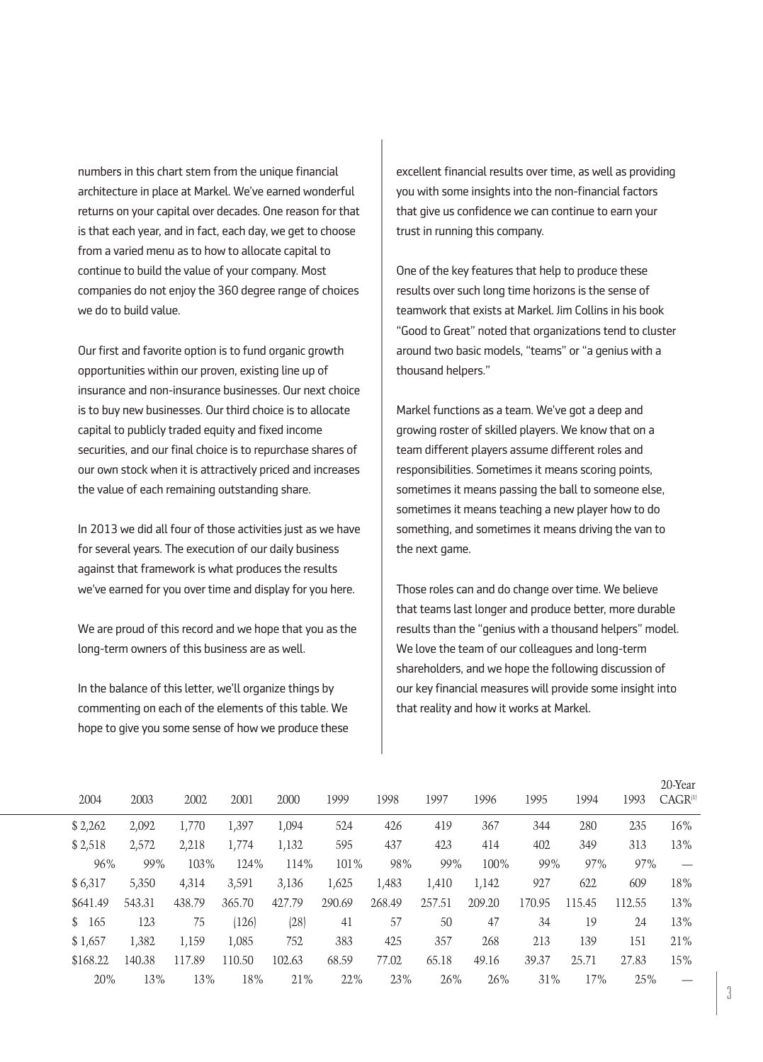numbers in this chart stem from the unique financial architecture in place at Markel. We've earned wonderful returns on your capital over decades. One reason for that is that each year, and in fact, each day, we get to choose from a varied menu as to how to allocate capital to continue to build the value of your company. Most companies do not enjoy the 360 degree range of choices we do to build value.

Our first and favorite option is to fund organic growth opportunities within our proven, existing line up of insurance and non-insurance businesses. Our next choice is to buy new businesses. Our third choice is to allocate capital to publicly traded equity and fixed income securities, and our final choice is to repurchase shares of our own stock when it is attractively priced and increases the value of each remaining outstanding share.

In 2013 we did all four of those activities just as we have for several years. The execution of our daily business against that framework is what produces the results we've earned for you over time and display for you here.

We are proud of this record and we hope that you as the long-term owners of this business are as well.

In the balance of this letter, we'll organize things by commenting on each of the elements of this table. We hope to give you some sense of how we produce these excellent financial results over time, as well as providing you with some insights into the non-financial factors that give us confidence we can continue to earn your trust in running this company.

One of the key features that help to produce these results over such long time horizons is the sense of teamwork that exists at Markel. Jim Collins in his book "Good to Great" noted that organizations tend to cluster around two basic models, "teams" or "a genius with a thousand helpers."

Markel functions as a team. We've got a deep and growing roster of skilled players. We know that on a team different players assume different roles and responsibilities. Sometimes it means scoring points, sometimes it means passing the ball to someone else, sometimes it means teaching a new player how to do something, and sometimes it means driving the van to the next game.

Those roles can and do change over time. We believe that teams last longer and produce better, more durable results than the "genius with a thousand helpers" model. We love the team of our colleagues and long-term shareholders, and we hope the following discussion of our key financial measures will provide some insight into that reality and how it works at Markel.

| 2004     | 2003   | 2002   | 2001   | 2000   | 1999   | 1998   | 1997   | 1996   | 1995   | 1994   | 1993   | 20-Year<br>$CAGR^{(1)}$ |
|----------|--------|--------|--------|--------|--------|--------|--------|--------|--------|--------|--------|-------------------------|
| \$2,262  | 2,092  | 1,770  | 1,397  | 1,094  | 524    | 426    | 419    | 367    | 344    | 280    | 235    | 16%                     |
| \$2,518  | 2,572  | 2,218  | 1,774  | 1,132  | 595    | 437    | 423    | 414    | 402    | 349    | 313    | 13%                     |
| 96%      | 99%    | 103%   | 124%   | 114%   | 101%   | 98%    | 99%    | 100%   | 99%    | 97%    | 97%    |                         |
| \$6,317  | 5,350  | 4,314  | 3,591  | 3,136  | 1,625  | 1,483  | 1,410  | 1,142  | 927    | 622    | 609    | 18%                     |
| \$641.49 | 543.31 | 438.79 | 365.70 | 427.79 | 290.69 | 268.49 | 257.51 | 209.20 | 170.95 | 115.45 | 112.55 | 13%                     |
| \$165    | 123    | 75     | (126)  | (28)   | 41     | 57     | 50     | 47     | 34     | 19     | 24     | 13%                     |
| \$1,657  | 1,382  | 1,159  | 1,085  | 752    | 383    | 425    | 357    | 268    | 213    | 139    | 151    | 21%                     |
| \$168.22 | 140.38 | 117.89 | 110.50 | 102.63 | 68.59  | 77.02  | 65.18  | 49.16  | 39.37  | 25.71  | 27.83  | 15%                     |
| 20%      | 13%    | 13%    | 18%    | 21%    | 22%    | 23%    | 26%    | 26%    | 31%    | 17%    | 25%    |                         |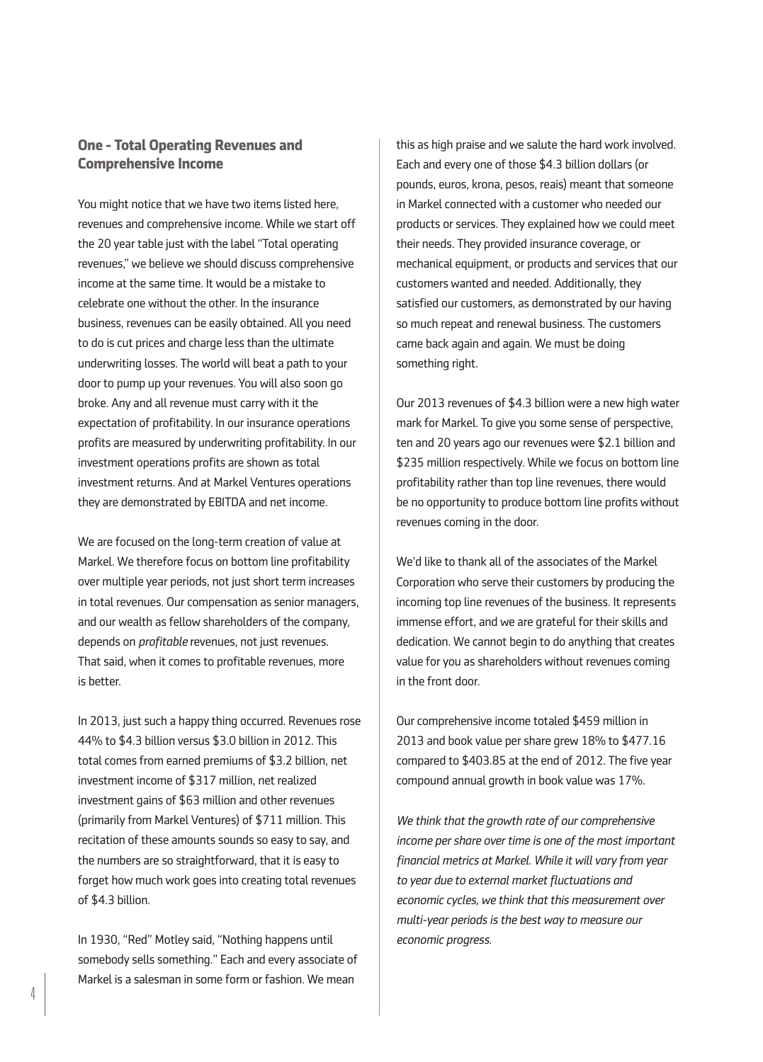# **One - Total Operating Revenues and Comprehensive Income**

You might notice that we have two items listed here, revenues and comprehensive income. While we start off the 20 year table just with the label "Total operating revenues," we believe we should discuss comprehensive income at the same time. It would be a mistake to celebrate one without the other. In the insurance business, revenues can be easily obtained. All you need to do is cut prices and charge less than the ultimate underwriting losses. The world will beat a path to your door to pump up your revenues. You will also soon go broke. Any and all revenue must carry with it the expectation of profitability. In our insurance operations profits are measured by underwriting profitability. In our investment operations profits are shown as total investment returns. And at Markel Ventures operations they are demonstrated by EBITDA and net income.

We are focused on the long-term creation of value at Markel. We therefore focus on bottom line profitability over multiple year periods, not just short term increases in total revenues. Our compensation as senior managers, and our wealth as fellow shareholders of the company, depends on *profitable* revenues, not just revenues. That said, when it comes to profitable revenues, more is better.

In 2013, just such a happy thing occurred. Revenues rose 44% to \$4.3 billion versus \$3.0 billion in 2012. This total comes from earned premiums of \$3.2 billion, net investment income of \$317 million, net realized investment gains of \$63 million and other revenues (primarily from Markel Ventures) of \$711 million. This recitation of these amounts sounds so easy to say, and the numbers are so straightforward, that it is easy to forget how much work goes into creating total revenues of \$4.3 billion.

In 1930, "Red" Motley said, "Nothing happens until somebody sells something." Each and every associate of Markel is a salesman in some form or fashion. We mean

this as high praise and we salute the hard work involved. Each and every one of those \$4.3 billion dollars (or pounds, euros, krona, pesos, reais) meant that someone in Markel connected with a customer who needed our products or services. They explained how we could meet their needs. They provided insurance coverage, or mechanical equipment, or products and services that our customers wanted and needed. Additionally, they satisfied our customers, as demonstrated by our having so much repeat and renewal business. The customers came back again and again. We must be doing something right.

Our 2013 revenues of \$4.3 billion were a new high water mark for Markel. To give you some sense of perspective, ten and 20 years ago our revenues were \$2.1 billion and \$235 million respectively. While we focus on bottom line profitability rather than top line revenues, there would be no opportunity to produce bottom line profits without revenues coming in the door.

We'd like to thank all of the associates of the Markel Corporation who serve their customers by producing the incoming top line revenues of the business. It represents immense effort, and we are grateful for their skills and dedication. We cannot begin to do anything that creates value for you as shareholders without revenues coming in the front door.

Our comprehensive income totaled \$459 million in 2013 and book value per share grew 18% to \$477.16 compared to \$403.85 at the end of 2012. The five year compound annual growth in book value was 17%.

*We think that the growth rate of our comprehensive income per share over time is one of the most important financial metrics at Markel. While it will vary from year to year due to external market fluctuations and economic cycles, we think that this measurement over multi-year periods is the best way to measure our economic progress.*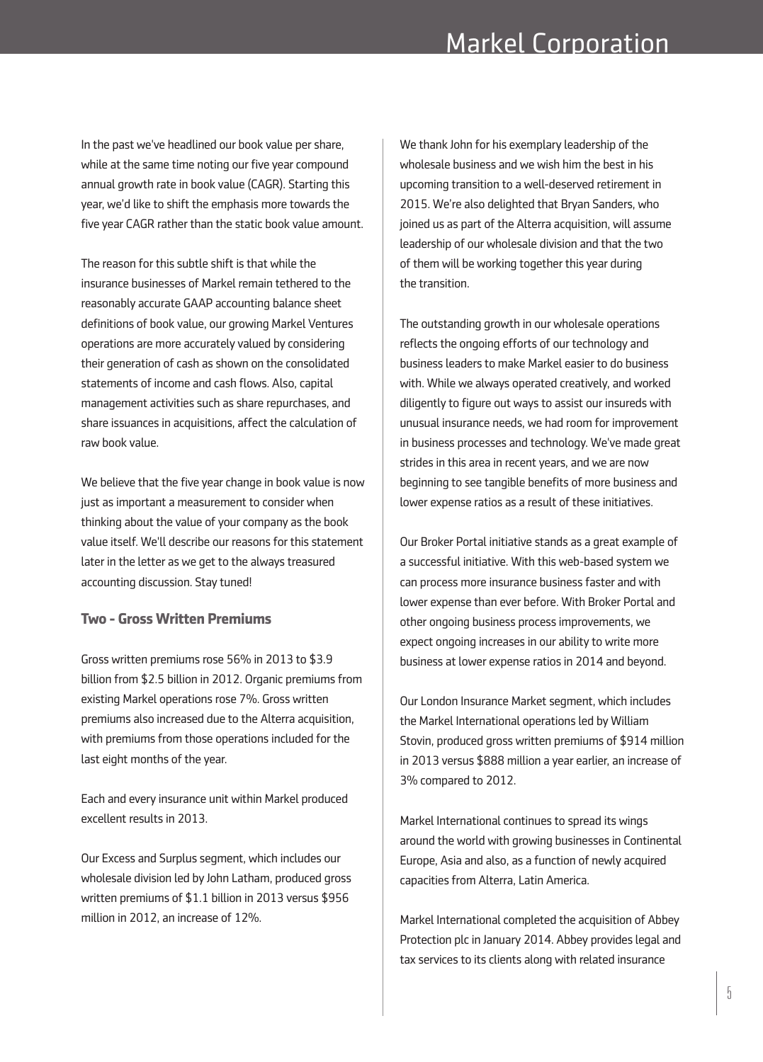In the past we've headlined our book value per share, while at the same time noting our five year compound annual growth rate in book value (CAGR). Starting this year, we'd like to shift the emphasis more towards the five year CAGR rather than the static book value amount.

The reason for this subtle shift is that while the insurance businesses of Markel remain tethered to the reasonably accurate GAAP accounting balance sheet definitions of book value, our growing Markel Ventures operations are more accurately valued by considering their generation of cash as shown on the consolidated statements of income and cash flows. Also, capital management activities such as share repurchases, and share issuances in acquisitions, affect the calculation of raw book value.

We believe that the five year change in book value is now just as important a measurement to consider when thinking about the value of your company as the book value itself. We'll describe our reasons for this statement later in the letter as we get to the always treasured accounting discussion. Stay tuned!

#### **Two - Gross Written Premiums**

Gross written premiums rose 56% in 2013 to \$3.9 billion from \$2.5 billion in 2012. Organic premiums from existing Markel operations rose 7%. Gross written premiums also increased due to the Alterra acquisition, with premiums from those operations included for the last eight months of the year.

Each and every insurance unit within Markel produced excellent results in 2013.

Our Excess and Surplus segment, which includes our wholesale division led by John Latham, produced gross written premiums of \$1.1 billion in 2013 versus \$956 million in 2012, an increase of 12%.

We thank John for his exemplary leadership of the wholesale business and we wish him the best in his upcoming transition to a well-deserved retirement in 2015. We're also delighted that Bryan Sanders, who joined us as part of the Alterra acquisition, will assume leadership of our wholesale division and that the two of them will be working together this year during the transition.

The outstanding growth in our wholesale operations reflects the ongoing efforts of our technology and business leaders to make Markel easier to do business with. While we always operated creatively, and worked diligently to figure out ways to assist our insureds with unusual insurance needs, we had room for improvement in business processes and technology. We've made great strides in this area in recent years, and we are now beginning to see tangible benefits of more business and lower expense ratios as a result of these initiatives.

Our Broker Portal initiative stands as a great example of a successful initiative. With this web-based system we can process more insurance business faster and with lower expense than ever before. With Broker Portal and other ongoing business process improvements, we expect ongoing increases in our ability to write more business at lower expense ratios in 2014 and beyond.

Our London Insurance Market segment, which includes the Markel International operations led by William Stovin, produced gross written premiums of \$914 million in 2013 versus \$888 million a year earlier, an increase of 3% compared to 2012.

Markel International continues to spread its wings around the world with growing businesses in Continental Europe, Asia and also, as a function of newly acquired capacities from Alterra, Latin America.

Markel International completed the acquisition of Abbey Protection plc in January 2014. Abbey provides legal and tax services to its clients along with related insurance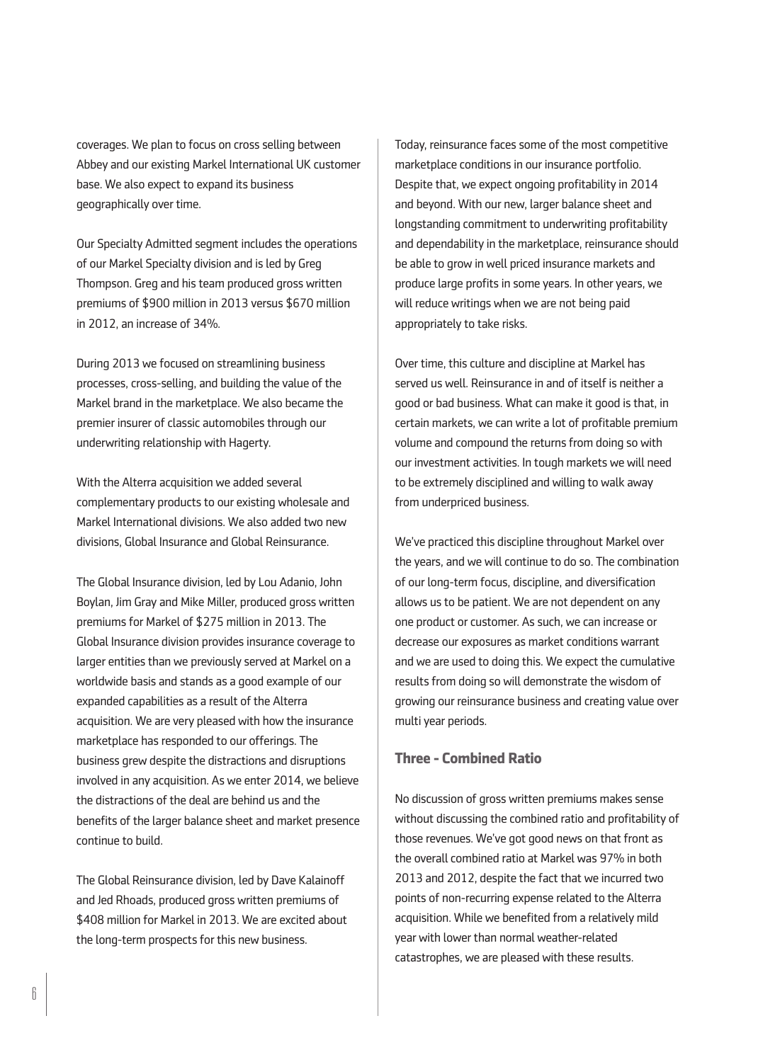coverages. We plan to focus on cross selling between Abbey and our existing Markel International UK customer base. We also expect to expand its business geographically over time.

Our Specialty Admitted segment includes the operations of our Markel Specialty division and is led by Greg Thompson. Greg and his team produced gross written premiums of \$900 million in 2013 versus \$670 million in 2012, an increase of 34%.

During 2013 we focused on streamlining business processes, cross-selling, and building the value of the Markel brand in the marketplace. We also became the premier insurer of classic automobiles through our underwriting relationship with Hagerty.

With the Alterra acquisition we added several complementary products to our existing wholesale and Markel International divisions. We also added two new divisions, Global Insurance and Global Reinsurance.

The Global Insurance division, led by Lou Adanio, John Boylan, Jim Gray and Mike Miller, produced gross written premiums for Markel of \$275 million in 2013. The Global Insurance division provides insurance coverage to larger entities than we previously served at Markel on a worldwide basis and stands as a good example of our expanded capabilities as a result of the Alterra acquisition. We are very pleased with how the insurance marketplace has responded to our offerings. The business grew despite the distractions and disruptions involved in any acquisition. As we enter 2014, we believe the distractions of the deal are behind us and the benefits of the larger balance sheet and market presence continue to build.

The Global Reinsurance division, led by Dave Kalainoff and Jed Rhoads, produced gross written premiums of \$408 million for Markel in 2013. We are excited about the long-term prospects for this new business.

Today, reinsurance faces some of the most competitive marketplace conditions in our insurance portfolio. Despite that, we expect ongoing profitability in 2014 and beyond. With our new, larger balance sheet and longstanding commitment to underwriting profitability and dependability in the marketplace, reinsurance should be able to grow in well priced insurance markets and produce large profits in some years. In other years, we will reduce writings when we are not being paid appropriately to take risks.

Over time, this culture and discipline at Markel has served us well. Reinsurance in and of itself is neither a good or bad business. What can make it good is that, in certain markets, we can write a lot of profitable premium volume and compound the returns from doing so with our investment activities. In tough markets we will need to be extremely disciplined and willing to walk away from underpriced business.

We've practiced this discipline throughout Markel over the years, and we will continue to do so. The combination of our long-term focus, discipline, and diversification allows us to be patient. We are not dependent on any one product or customer. As such, we can increase or decrease our exposures as market conditions warrant and we are used to doing this. We expect the cumulative results from doing so will demonstrate the wisdom of growing our reinsurance business and creating value over multi year periods.

# **Three - Combined Ratio**

No discussion of gross written premiums makes sense without discussing the combined ratio and profitability of those revenues. We've got good news on that front as the overall combined ratio at Markel was 97% in both 2013 and 2012, despite the fact that we incurred two points of non-recurring expense related to the Alterra acquisition. While we benefited from a relatively mild year with lower than normal weather-related catastrophes, we are pleased with these results.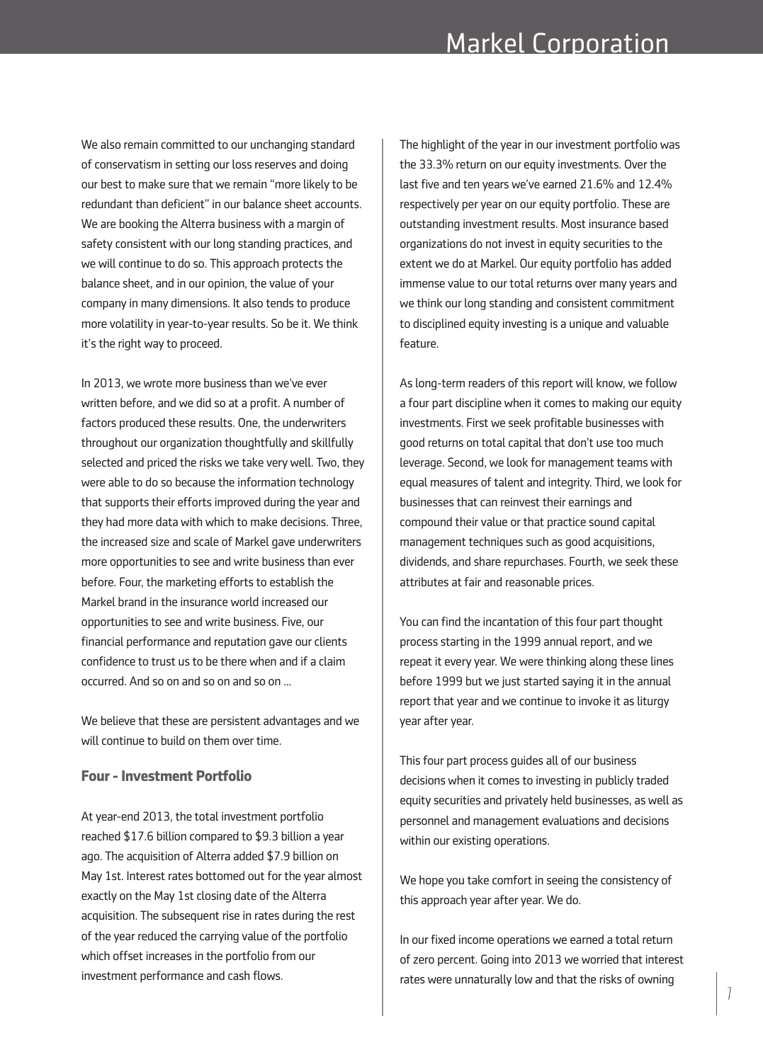We also remain committed to our unchanging standard of conservatism in setting our loss reserves and doing our best to make sure that we remain "more likely to be redundant than deficient" in our balance sheet accounts. We are booking the Alterra business with a margin of safety consistent with our long standing practices, and we will continue to do so. This approach protects the balance sheet, and in our opinion, the value of your company in many dimensions. It also tends to produce more volatility in year-to-year results. So be it. We think it's the right way to proceed.

In 2013, we wrote more business than we've ever written before, and we did so at a profit. A number of factors produced these results. One, the underwriters throughout our organization thoughtfully and skillfully selected and priced the risks we take very well. Two, they were able to do so because the information technology that supports their efforts improved during the year and they had more data with which to make decisions. Three, the increased size and scale of Markel gave underwriters more opportunities to see and write business than ever before. Four, the marketing efforts to establish the Markel brand in the insurance world increased our opportunities to see and write business. Five, our financial performance and reputation gave our clients confidence to trust us to be there when and if a claim occurred. And so on and so on and so on ...

We believe that these are persistent advantages and we will continue to build on them over time.

#### **Four-Investment Portfolio**

At year-end 2013, the total investment portfolio reached \$17.6 billion compared to \$9.3 billion a year ago. The acquisition of Alterra added \$7.9 billion on May 1st. Interest rates bottomed out for the year almost exactly on the May 1st closing date of the Alterra acquisition. The subsequent rise in rates during the rest of the year reduced the carrying value of the portfolio which offset increases in the portfolio from our investment performance and cash flows.

The highlight of the year in our investment portfolio was the 33.3% return on our equity investments. Over the last five and ten years we've earned 21.6% and 12.4% respectively per year on our equity portfolio. These are outstanding investment results. Most insurance based organizations do not invest in equity securities to the extent we do at Markel. Our equity portfolio has added immense value to our total returns over many years and we think our long standing and consistent commitment to disciplined equity investing is a unique and valuable feature.

As long-term readers of this report will know, we follow a four part discipline when it comes to making our equity investments. First we seek profitable businesses with good returns on total capital that don't use too much leverage. Second, we look for management teams with equal measures of talent and integrity. Third, we look for businesses that can reinvest their earnings and compound their value or that practice sound capital management techniques such as good acquisitions, dividends, and share repurchases. Fourth, we seek these attributes at fair and reasonable prices.

You can find the incantation of this four part thought process starting in the 1999 annual report, and we repeat it every year. We were thinking along these lines before 1999 but we just started saying it in the annual report that year and we continue to invoke it as liturgy year after year.

This four part process guides all of our business decisions when it comes to investing in publicly traded equity securities and privately held businesses, as well as personnel and management evaluations and decisions within our existing operations.

We hope you take comfort in seeing the consistency of this approach year after year. We do.

In our fixed income operations we earned a total return of zero percent. Going into 2013 we worried that interest rates were unnaturally low and that the risks of owning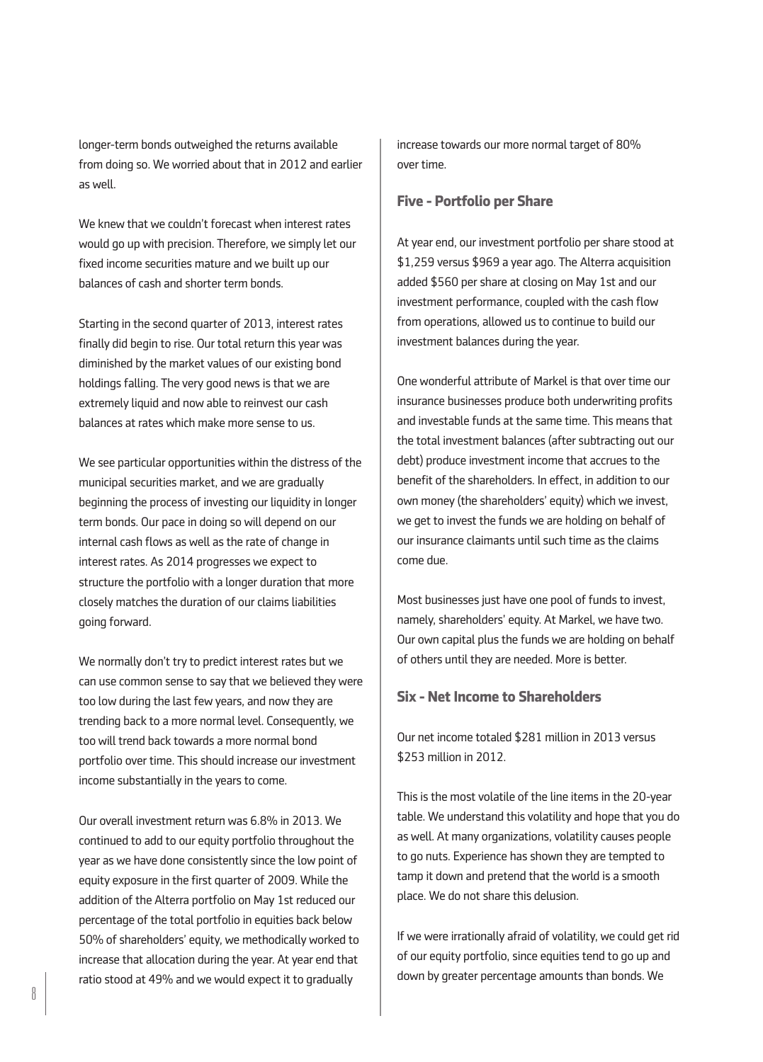longer-term bonds outweighed the returns available from doing so. We worried about that in 2012 and earlier as well.

We knew that we couldn't forecast when interest rates would go up with precision. Therefore, we simply let our fixed income securities mature and we built up our balances of cash and shorter term bonds.

Starting in the second quarter of 2013, interest rates finally did begin to rise. Our total return this year was diminished by the market values of our existing bond holdings falling. The very good news is that we are extremely liquid and now able to reinvest our cash balances at rates which make more sense to us.

We see particular opportunities within the distress of the municipal securities market, and we are gradually beginning the process of investing our liquidity in longer term bonds. Our pace in doing so will depend on our internal cash flows as well as the rate of change in interest rates. As 2014 progresses we expect to structure the portfolio with a longer duration that more closely matches the duration of our claims liabilities going forward.

We normally don't try to predict interest rates but we can use common sense to say that we believed they were too low during the last few years, and now they are trending back to a more normal level. Consequently, we too will trend back towards a more normal bond portfolio over time. This should increase our investment income substantially in the years to come.

Our overall investment return was 6.8% in 2013. We continued to add to our equity portfolio throughout the year as we have done consistently since the low point of equity exposure in the first quarter of 2009. While the addition of the Alterra portfolio on May 1st reduced our percentage of the total portfolio in equities back below 50% of shareholders' equity, we methodically worked to increase that allocation during the year. At year end that ratio stood at 49% and we would expect it to gradually

increase towards our more normal target of 80% over time.

#### **Five - Portfolio per Share**

At year end, our investment portfolio per share stood at \$1,259 versus \$969 a year ago. The Alterra acquisition added \$560 per share at closing on May 1st and our investment performance, coupled with the cash flow from operations, allowed us to continue to build our investment balances during the year.

One wonderful attribute of Markel is that over time our insurance businesses produce both underwriting profits and investable funds at the same time. This means that the total investment balances (after subtracting out our debt) produce investment income that accrues to the benefit of the shareholders. In effect, in addition to our own money (the shareholders' equity) which we invest, we get to invest the funds we are holding on behalf of our insurance claimants until such time as the claims come due.

Most businesses just have one pool of funds to invest, namely, shareholders' equity. At Markel, we have two. Our own capital plus the funds we are holding on behalf of others until they are needed. More is better.

## **Six - Net Income to Shareholders**

Our net income totaled \$281 million in 2013 versus \$253 million in 2012.

This is the most volatile of the line items in the 20-year table. We understand this volatility and hope that you do as well. At many organizations, volatility causes people to go nuts. Experience has shown they are tempted to tamp it down and pretend that the world is a smooth place. We do not share this delusion.

If we were irrationally afraid of volatility, we could get rid of our equity portfolio, since equities tend to go up and down by greater percentage amounts than bonds. We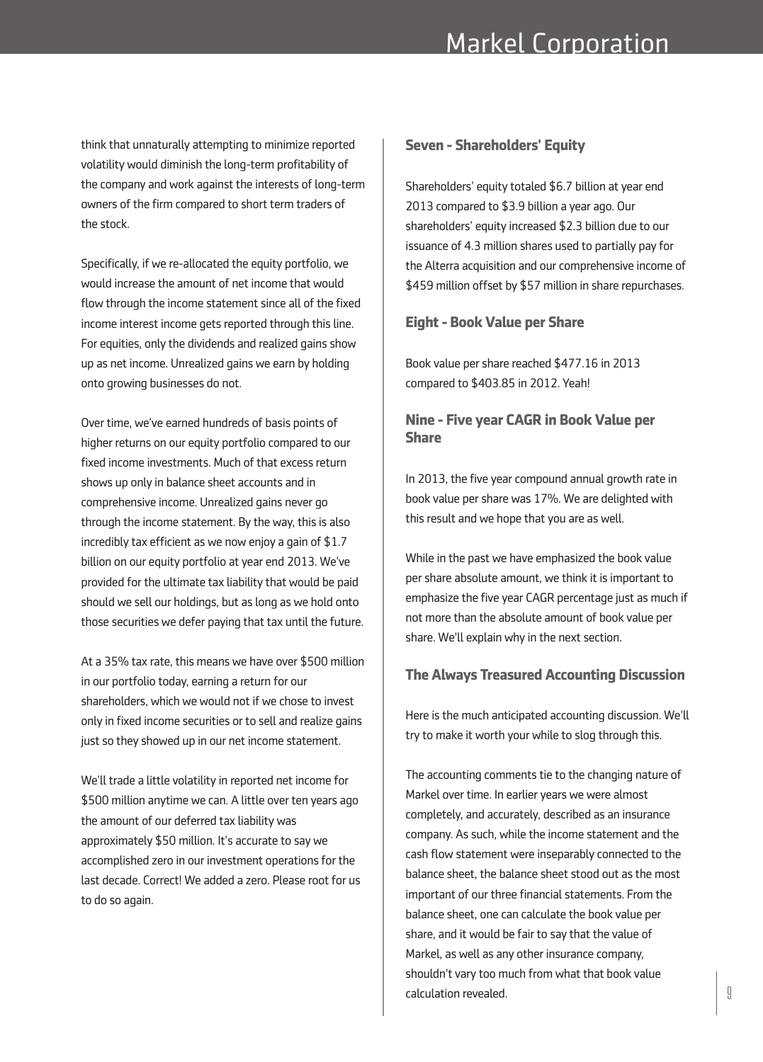think that unnaturally attempting to minimize reported volatility would diminish the long-term profitability of the company and work against the interests of long-term owners of the firm compared to short term traders of the stock.

Specifically, if we re-allocated the equity portfolio, we would increase the amount of net income that would flow through the income statement since all of the fixed income interest income gets reported through this line. For equities, only the dividends and realized gains show up as net income. Unrealized gains we earn by holding onto growing businesses do not.

Over time, we've earned hundreds of basis points of higher returns on our equity portfolio compared to our fixed income investments. Much of that excess return shows up only in balance sheet accounts and in comprehensive income. Unrealized gains never go through the income statement. By the way, this is also incredibly tax efficient as we now enjoy a gain of \$1.7 billion on our equity portfolio at year end 2013. We've provided for the ultimate tax liability that would be paid should we sell our holdings, but as long as we hold onto those securities we defer paying that tax until the future.

At a 35% tax rate, this means we have over \$500 million in our portfolio today, earning a return for our shareholders, which we would not if we chose to invest only in fixed income securities or to sell and realize gains just so they showed up in our net income statement.

We'll trade a little volatility in reported net income for \$500 million anytime we can. A little over ten years ago the amount of our deferred tax liability was approximately \$50 million. It's accurate to say we accomplished zero in our investment operations for the last decade. Correct! We added a zero. Please root for us to do so again.

### **Seven - Shareholders' Equity**

Shareholders' equity totaled \$6.7 billion at year end 2013 compared to \$3.9 billion a year ago. Our shareholders' equity increased \$2.3 billion due to our issuance of 4.3 million shares used to partially pay for the Alterra acquisition and our comprehensive income of \$459 million offset by \$57 million in share repurchases.

#### **Eight- Book Value per Share**

Book value per share reached \$477.16 in 2013 compared to \$403.85 in 2012. Yeah!

# **Nine - Five year CAGR in Book Value per Share**

In 2013, the five year compound annual growth rate in book value per share was 17%. We are delighted with this result and we hope that you are as well.

While in the past we have emphasized the book value per share absolute amount, we think it is important to emphasize the five year CAGR percentage just as much if not more than the absolute amount of book value per share. We'll explain why in the next section.

#### **The Always Treasured Accounting Discussion**

Here is the much anticipated accounting discussion. We'll try to make it worth your while to slog through this.

The accounting comments tie to the changing nature of Markel over time. In earlier years we were almost completely, and accurately, described as an insurance company. As such, while the income statement and the cash flow statement were inseparably connected to the balance sheet, the balance sheet stood out as the most important of our three financial statements. From the balance sheet, one can calculate the book value per share, and it would be fair to say that the value of Markel, as well as any other insurance company, shouldn't vary too much from what that book value calculation revealed.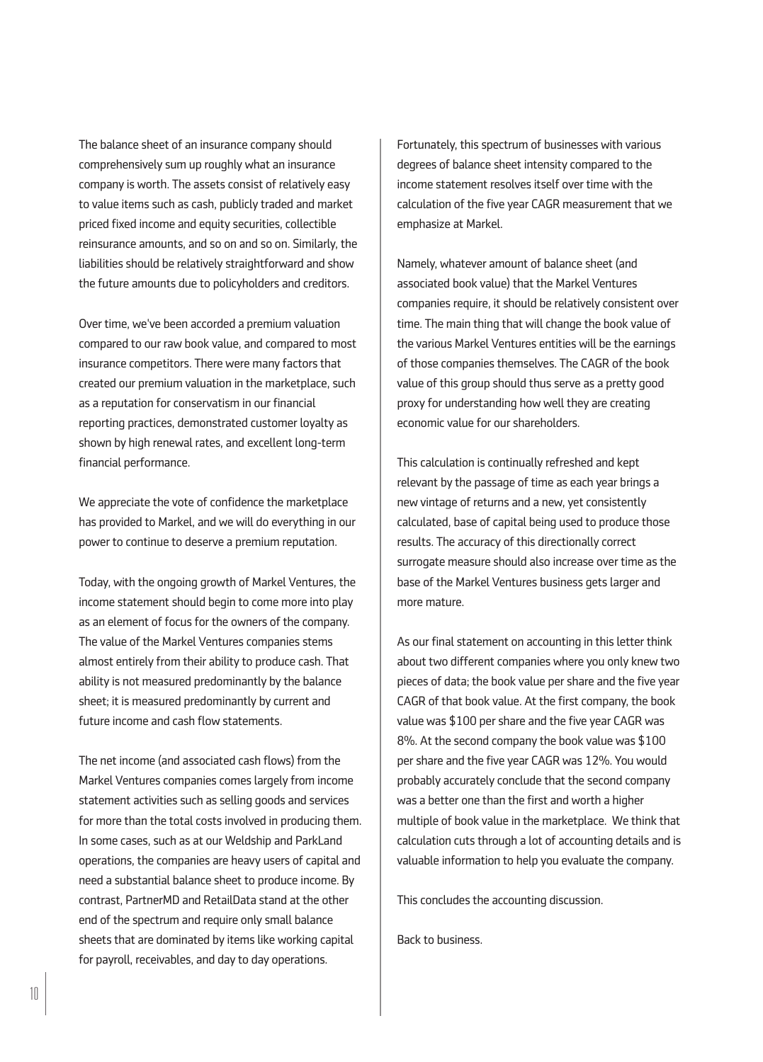The balance sheet of an insurance company should comprehensively sum up roughly what an insurance company is worth. The assets consist of relatively easy to value items such as cash, publicly traded and market priced fixed income and equity securities, collectible reinsurance amounts, and so on and so on. Similarly, the liabilities should be relatively straightforward and show the future amounts due to policyholders and creditors.

Over time, we've been accorded a premium valuation compared to our raw book value, and compared to most insurance competitors. There were many factors that created our premium valuation in the marketplace, such as a reputation for conservatism in our financial reporting practices, demonstrated customer loyalty as shown by high renewal rates, and excellent long-term financial performance.

We appreciate the vote of confidence the marketplace has provided to Markel, and we will do everything in our power to continue to deserve a premium reputation.

Today, with the ongoing growth of Markel Ventures, the income statement should begin to come more into play as an element of focus for the owners of the company. The value of the Markel Ventures companies stems almost entirely from their ability to produce cash. That ability is not measured predominantly by the balance sheet; it is measured predominantly by current and future income and cash flow statements.

The net income (and associated cash flows) from the Markel Ventures companies comes largely from income statement activities such as selling goods and services for more than the total costs involved in producing them. In some cases, such as at our Weldship and ParkLand operations, the companies are heavy users of capital and need a substantial balance sheet to produce income. By contrast, PartnerMD and RetailData stand at the other end of the spectrum and require only small balance sheets that are dominated by items like working capital for payroll, receivables, and day to day operations.

Fortunately, this spectrum of businesses with various degrees of balance sheet intensity compared to the income statement resolves itself over time with the calculation of the five year CAGR measurement that we emphasize at Markel.

Namely, whatever amount of balance sheet (and associated book value) that the Markel Ventures companies require, it should be relatively consistent over time. The main thing that will change the book value of the various Markel Ventures entities will be the earnings of those companies themselves. The CAGR of the book value of this group should thus serve as a pretty good proxy for understanding how well they are creating economic value for our shareholders.

This calculation is continually refreshed and kept relevant by the passage of time as each year brings a new vintage of returns and a new, yet consistently calculated, base of capital being used to produce those results. The accuracy of this directionally correct surrogate measure should also increase over time as the base of the Markel Ventures business gets larger and more mature.

As our final statement on accounting in this letter think about two different companies where you only knew two pieces of data; the book value per share and the five year CAGR of that book value. At the first company, the book value was \$100 per share and the five year CAGR was 8%. At the second company the book value was \$100 per share and the five year CAGR was 12%. You would probably accurately conclude that the second company was a better one than the first and worth a higher multiple of book value in the marketplace. We think that calculation cuts through a lot of accounting details and is valuable information to help you evaluate the company.

This concludes the accounting discussion.

Back to business.